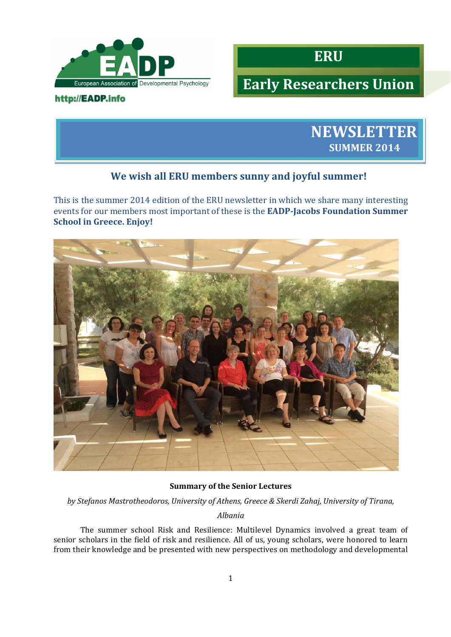

## http://EADP.info



# **Early Researchers Union**



## **We wish all ERU members sunny and joyful summer!**

This is the summer 2014 edition of the ERU newsletter in which we share many interesting **events** for our members most important of these is the **EADP-Jacobs Foundation Summer School in Greece. Enjoy!**



## **Summary of the Senior Lectures**

*by Stefanos Mastrotheodoros, University of Athens, Greece & Skerdi Zahaj, University of Tirana,*

#### *Albania*

The summer school Risk and Resilience: Multilevel Dynamics involved a great team of senior scholars in the field of risk and resilience. All of us, young scholars, were honored to learn from their knowledge and be presented with new perspectives on methodology and developmental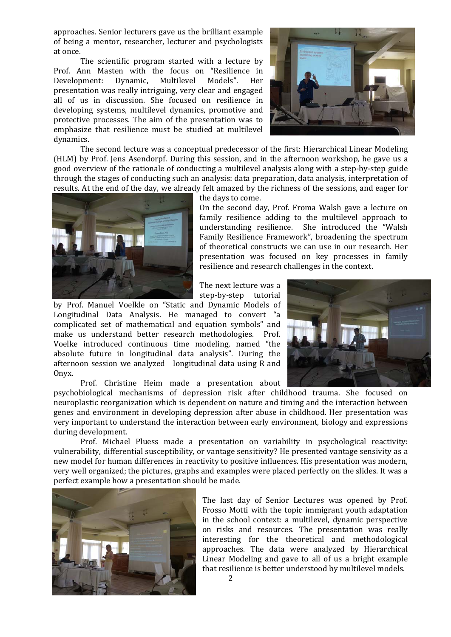approaches. Senior lecturers gave us the brilliant example of being a mentor, researcher, lecturer and psychologists at once.

The scientific program started with a lecture by Prof. Ann Masten with the focus on "Resilience in Development: Dynamic, Multilevel Models". Her presentation was really intriguing, very clear and engaged all of us in discussion. She focused on resilience in developing systems, multilevel dynamics, promotive and protective processes. The aim of the presentation was to emphasize that resilience must be studied at multilevel dynamics. 

The second lecture was a conceptual predecessor of the first: Hierarchical Linear Modeling (HLM) by Prof. Jens Asendorpf. During this session, and in the afternoon workshop, he gave us a good overview of the rationale of conducting a multilevel analysis along with a step-by-step guide through the stages of conducting such an analysis: data preparation, data analysis, interpretation of results. At the end of the day, we already felt amazed by the richness of the sessions, and eager for



the days to come.

On the second day, Prof. Froma Walsh gave a lecture on family resilience adding to the multilevel approach to understanding resilience. She introduced the "Walsh Family Resilience Framework", broadening the spectrum of theoretical constructs we can use in our research. Her presentation was focused on key processes in family resilience and research challenges in the context.

The next lecture was a step-by-step tutorial

by Prof. Manuel Voelkle on "Static and Dynamic Models of Longitudinal Data Analysis. He managed to convert "a complicated set of mathematical and equation symbols" and make us understand better research methodologies. Prof. Voelke introduced continuous time modeling, named "the absolute future in longitudinal data analysis". During the afternoon session we analyzed longitudinal data using R and Onyx. 

Prof. Christine Heim made a presentation about

psychobiological mechanisms of depression risk after childhood trauma. She focused on neuroplastic reorganization which is dependent on nature and timing and the interaction between genes and environment in developing depression after abuse in childhood. Her presentation was very important to understand the interaction between early environment, biology and expressions during development.

Prof. Michael Pluess made a presentation on variability in psychological reactivity: vulnerability, differential susceptibility, or vantage sensitivity? He presented vantage sensivity as a new model for human differences in reactivity to positive influences. His presentation was modern, very well organized; the pictures, graphs and examples were placed perfectly on the slides. It was a perfect example how a presentation should be made.



The last day of Senior Lectures was opened by Prof. Frosso Motti with the topic immigrant youth adaptation in the school context: a multilevel, dynamic perspective on risks and resources. The presentation was really interesting for the theoretical and methodological approaches. The data were analyzed by Hierarchical Linear Modeling and gave to all of us a bright example that resilience is better understood by multilevel models.



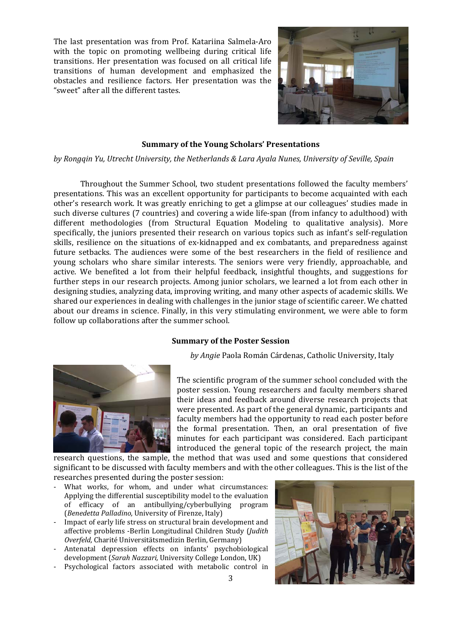The last presentation was from Prof. Katariina Salmela-Aro with the topic on promoting wellbeing during critical life transitions. Her presentation was focused on all critical life transitions of human development and emphasized the obstacles and resilience factors. Her presentation was the "sweet" after all the different tastes.



#### **Summary of the Young Scholars' Presentations**

*by Rongqin Yu, Utrecht University, the Netherlands & Lara Ayala Nunes, University of Seville, Spain*

Throughout the Summer School, two student presentations followed the faculty members' presentations. This was an excellent opportunity for participants to become acquainted with each other's research work. It was greatly enriching to get a glimpse at our colleagues' studies made in such diverse cultures (7 countries) and covering a wide life-span (from infancy to adulthood) with different methodologies (from Structural Equation Modeling to qualitative analysis). More specifically, the juniors presented their research on various topics such as infant's self-regulation skills, resilience on the situations of ex-kidnapped and ex combatants, and preparedness against future setbacks. The audiences were some of the best researchers in the field of resilience and young scholars who share similar interests. The seniors were very friendly, approachable, and active. We benefited a lot from their helpful feedback, insightful thoughts, and suggestions for further steps in our research projects. Among junior scholars, we learned a lot from each other in designing studies, analyzing data, improving writing, and many other aspects of academic skills. We shared our experiences in dealing with challenges in the junior stage of scientific career. We chatted about our dreams in science. Finally, in this very stimulating environment, we were able to form follow up collaborations after the summer school.

#### **Summary of the Poster Session**

by *Angie* Paola Román Cárdenas, Catholic University, Italy



The scientific program of the summer school concluded with the poster session. Young researchers and faculty members shared their ideas and feedback around diverse research projects that were presented. As part of the general dynamic, participants and faculty members had the opportunity to read each poster before the formal presentation. Then, an oral presentation of five minutes for each participant was considered. Each participant introduced the general topic of the research project, the main

research questions, the sample, the method that was used and some questions that considered significant to be discussed with faculty members and with the other colleagues. This is the list of the researches presented during the poster session:

- What works, for whom, and under what circumstances: Applying the differential susceptibility model to the evaluation of efficacy of an antibullying/cyberbullying program (*Benedetta Palladino,* University of Firenze, Italy)
- Impact of early life stress on structural brain development and affective problems -Berlin Longitudinal Children Study (*Judith*) *Overfeld,* Charité Universitätsmedizin Berlin, Germany)
- Antenatal depression effects on infants' psychobiological development (Sarah Nazzari, University College London, UK)
- Psychological factors associated with metabolic control in

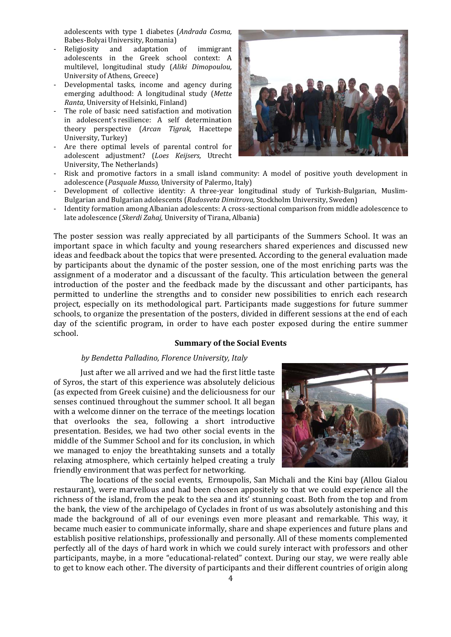adolescents with type 1 diabetes (*Andrada Cosma,* Babes-Bolyai University, Romania)

- Religiosity and adaptation of immigrant adolescents in the Greek school context: A multilevel, longitudinal study (*Aliki Dimopoulou,* University of Athens, Greece)
- Developmental tasks, income and agency during emerging adulthood: A longitudinal study (*Mette Ranta*, University of Helsinki, Finland)
- The role of basic need satisfaction and motivation in adolescent's resilience: A self determination theory perspective (*Arcan Tigrak,* Hacettepe University, Turkey)
- Are there optimal levels of parental control for adolescent adjustment? (*Loes Keijsers,* Utrecht University, The Netherlands)



- Risk and promotive factors in a small island community: A model of positive youth development in adolescence (Pasquale Musso, University of Palermo, Italy)
- Development of collective identity: A three-year longitudinal study of Turkish-Bulgarian, Muslim-Bulgarian and Bulgarian adolescents (Radosveta Dimitrova, Stockholm University, Sweden)
- Identity formation among Albanian adolescents: A cross-sectional comparison from middle adolescence to late adolescence (*Skerdi Zahaj,* University of Tirana, Albania)

The poster session was really appreciated by all participants of the Summers School. It was an important space in which faculty and young researchers shared experiences and discussed new ideas and feedback about the topics that were presented. According to the general evaluation made by participants about the dynamic of the poster session, one of the most enriching parts was the assignment of a moderator and a discussant of the faculty. This articulation between the general introduction of the poster and the feedback made by the discussant and other participants, has permitted to underline the strengths and to consider new possibilities to enrich each research project, especially on its methodological part. Participants made suggestions for future summer schools, to organize the presentation of the posters, divided in different sessions at the end of each day of the scientific program, in order to have each poster exposed during the entire summer school. 

#### **Summary of the Social Events**

#### *by Bendetta Palladino, Florence University, Italy*

Just after we all arrived and we had the first little taste of Syros, the start of this experience was absolutely delicious (as expected from Greek cuisine) and the deliciousness for our senses continued throughout the summer school. It all began with a welcome dinner on the terrace of the meetings location that overlooks the sea, following a short introductive presentation. Besides, we had two other social events in the middle of the Summer School and for its conclusion, in which we managed to enjoy the breathtaking sunsets and a totally relaxing atmosphere, which certainly helped creating a truly friendly environment that was perfect for networking.



The locations of the social events, Ermoupolis, San Michali and the Kini bay (Allou Gialou restaurant), were marvellous and had been chosen appositely so that we could experience all the richness of the island, from the peak to the sea and its' stunning coast. Both from the top and from the bank, the view of the archipelago of Cyclades in front of us was absolutely astonishing and this made the background of all of our evenings even more pleasant and remarkable. This way, it became much easier to communicate informally, share and shape experiences and future plans and establish positive relationships, professionally and personally. All of these moments complemented perfectly all of the days of hard work in which we could surely interact with professors and other participants, maybe, in a more "educational-related" context. During our stay, we were really able to get to know each other. The diversity of participants and their different countries of origin along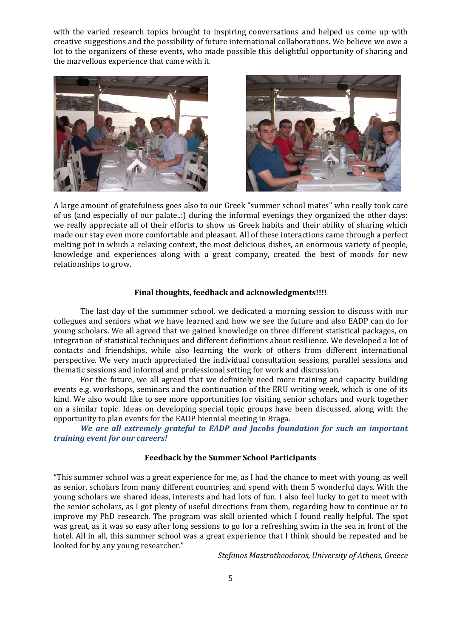with the varied research topics brought to inspiring conversations and helped us come up with creative suggestions and the possibility of future international collaborations. We believe we owe a lot to the organizers of these events, who made possible this delightful opportunity of sharing and the marvellous experience that came with it.





A large amount of gratefulness goes also to our Greek "summer school mates" who really took care of us (and especially of our palate..:) during the informal evenings they organized the other days: we really appreciate all of their efforts to show us Greek habits and their ability of sharing which made our stay even more comfortable and pleasant. All of these interactions came through a perfect melting pot in which a relaxing context, the most delicious dishes, an enormous variety of people, knowledge and experiences along with a great company, created the best of moods for new relationships to grow.

#### **Final thoughts, feedback and acknowledgments!!!!**

The last day of the summmer school, we dedicated a morning session to discuss with our collegues and seniors what we have learned and how we see the future and also EADP can do for young scholars. We all agreed that we gained knowledge on three different statistical packages, on integration of statistical techniques and different definitions about resilience. We developed a lot of contacts and friendships, while also learning the work of others from different international perspective. We very much appreciated the individual consultation sessions, parallel sessions and thematic sessions and informal and professional setting for work and discussion.

For the future, we all agreed that we definitely need more training and capacity building events e.g. workshops, seminars and the continuation of the ERU writing week, which is one of its kind. We also would like to see more opportunities for visiting senior scholars and work together on a similar topic. Ideas on developing special topic groups have been discussed, along with the opportunity to plan events for the EADP biennial meeting in Braga.

*We are all extremely grateful to EADP and Jacobs foundation for such an important training event for our careers!*

#### **Feedback by the Summer School Participants**

"This summer school was a great experience for me, as I had the chance to meet with young, as well as senior, scholars from many different countries, and spend with them 5 wonderful days. With the young scholars we shared ideas, interests and had lots of fun. I also feel lucky to get to meet with the senior scholars, as I got plenty of useful directions from them, regarding how to continue or to improve my PhD research. The program was skill oriented which I found really helpful. The spot was great, as it was so easy after long sessions to go for a refreshing swim in the sea in front of the hotel. All in all, this summer school was a great experience that I think should be repeated and be looked for by any young researcher."

*Stefanos Mastrotheodoros, University of Athens, Greece*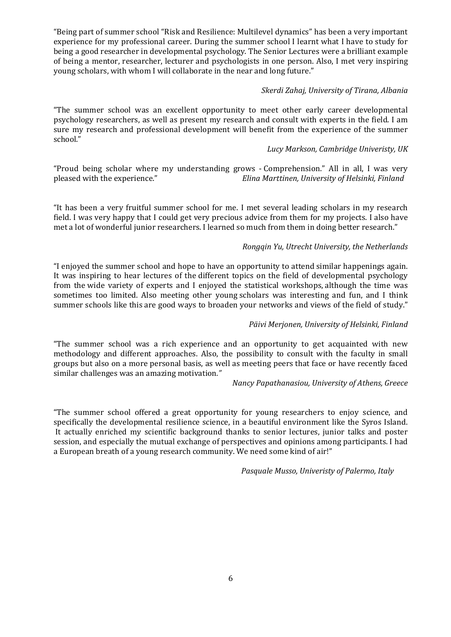"Being part of summer school "Risk and Resilience: Multilevel dynamics" has been a very important experience for my professional career. During the summer school I learnt what I have to study for being a good researcher in developmental psychology. The Senior Lectures were a brilliant example of being a mentor, researcher, lecturer and psychologists in one person. Also, I met very inspiring young scholars, with whom I will collaborate in the near and long future."

## *Skerdi Zahaj, University of Tirana, Albania*

"The summer school was an excellent opportunity to meet other early career developmental psychology researchers, as well as present my research and consult with experts in the field. I am sure my research and professional development will benefit from the experience of the summer school." 

## *Lucy Markson, Cambridge Univeristy, UK*

"Proud being scholar where my understanding grows - Comprehension." All in all, I was very pleased with the experience." *Elina Marttinen, University of Helsinki, Finland*

"It has been a very fruitful summer school for me. I met several leading scholars in my research field. I was very happy that I could get very precious advice from them for my projects. I also have met a lot of wonderful junior researchers. I learned so much from them in doing better research."

## *Rongqin Yu, Utrecht University, the Netherlands*

"I enjoyed the summer school and hope to have an opportunity to attend similar happenings again. It was inspiring to hear lectures of the different topics on the field of developmental psychology from the wide variety of experts and I enjoyed the statistical workshops, although the time was sometimes too limited. Also meeting other young scholars was interesting and fun, and I think summer schools like this are good ways to broaden your networks and views of the field of study."

## *Päivi Merjonen, University of Helsinki, Finland*

"The summer school was a rich experience and an opportunity to get acquainted with new methodology and different approaches. Also, the possibility to consult with the faculty in small groups but also on a more personal basis, as well as meeting peers that face or have recently faced similar challenges was an amazing motivation."

## *Nancy Papathanasiou, University of Athens, Greece*

"The summer school offered a great opportunity for young researchers to enjoy science, and specifically the developmental resilience science, in a beautiful environment like the Syros Island. It actually enriched my scientific background thanks to senior lectures, junior talks and poster session, and especially the mutual exchange of perspectives and opinions among participants. I had a European breath of a young research community. We need some kind of air!"

*Pasquale Musso, Univeristy of Palermo, Italy*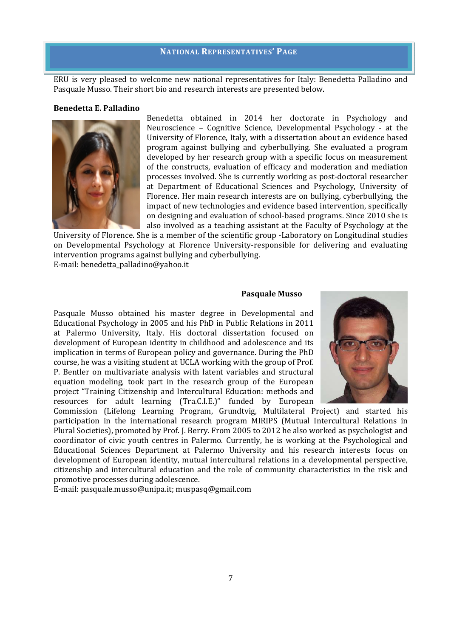#### **NATIONAL REPRESENTATIVES' PAGE**

ERU is very pleased to welcome new national representatives for Italy: Benedetta Palladino and Pasquale Musso. Their short bio and research interests are presented below.

#### **Benedetta E. Palladino**



Benedetta obtained in 2014 her doctorate in Psychology and Neuroscience - Cognitive Science, Developmental Psychology - at the University of Florence, Italy, with a dissertation about an evidence based program against bullying and cyberbullying. She evaluated a program developed by her research group with a specific focus on measurement of the constructs, evaluation of efficacy and moderation and mediation processes involved. She is currently working as post-doctoral researcher at Department of Educational Sciences and Psychology, University of Florence. Her main research interests are on bullying, cyberbullying, the impact of new technologies and evidence based intervention, specifically on designing and evaluation of school-based programs. Since 2010 she is also involved as a teaching assistant at the Faculty of Psychology at the

University of Florence. She is a member of the scientific group -Laboratory on Longitudinal studies on Developmental Psychology at Florence University-responsible for delivering and evaluating intervention programs against bullying and cyberbullying. E-mail: benedetta\_palladino@yahoo.it

#### **Pasquale Musso**

Pasquale Musso obtained his master degree in Developmental and Educational Psychology in 2005 and his PhD in Public Relations in 2011 at Palermo University, Italy. His doctoral dissertation focused on development of European identity in childhood and adolescence and its implication in terms of European policy and governance. During the PhD course, he was a visiting student at UCLA working with the group of Prof. P. Bentler on multivariate analysis with latent variables and structural equation modeling, took part in the research group of the European project "Training Citizenship and Intercultural Education: methods and resources for adult learning (Tra.C.I.E.)" funded by European



Commission (Lifelong Learning Program, Grundtvig, Multilateral Project) and started his participation in the international research program MIRIPS (Mutual Intercultural Relations in Plural Societies), promoted by Prof. J. Berry. From 2005 to 2012 he also worked as psychologist and coordinator of civic youth centres in Palermo. Currently, he is working at the Psychological and Educational Sciences Department at Palermo University and his research interests focus on development of European identity, mutual intercultural relations in a developmental perspective, citizenship and intercultural education and the role of community characteristics in the risk and promotive processes during adolescence.

E-mail: pasquale.musso@unipa.it; muspasq@gmail.com